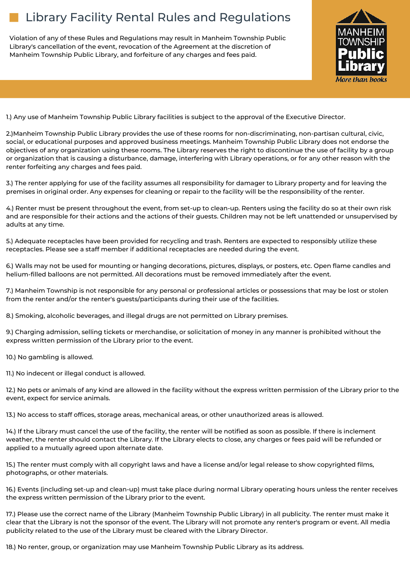## Library Facility Rental Rules and Regulations

Violation of any of these Rules and Regulations may result in Manheim Township Public Library's cancellation of the event, revocation of the Agreement at the discretion of Manheim Township Public Library, and forfeiture of any charges and fees paid.



1.) Any use of Manheim Township Public Library facilities is subject to the approval of the Executive Director.

2.)Manheim Township Public Library provides the use of these rooms for non-discriminating, non-partisan cultural, civic, social, or educational purposes and approved business meetings. Manheim Township Public Library does not endorse the objectives of any organization using these rooms. The Library reserves the right to discontinue the use of facility by a group or organization that is causing a disturbance, damage, interfering with Library operations, or for any other reason with the renter forfeiting any charges and fees paid.

3.) The renter applying for use of the facility assumes all responsibility for damager to Library property and for leaving the premises in original order. Any expenses for cleaning or repair to the facility will be the responsibility of the renter.

4.) Renter must be present throughout the event, from set-up to clean-up. Renters using the facility do so at their own risk and are responsible for their actions and the actions of their guests. Children may not be left unattended or unsupervised by adults at any time.

5.) Adequate receptacles have been provided for recycling and trash. Renters are expected to responsibly utilize these receptacles. Please see a staff member if additional receptacles are needed during the event.

6.) Walls may not be used for mounting or hanging decorations, pictures, displays, or posters, etc. Open flame candles and helium-filled balloons are not permitted. All decorations must be removed immediately after the event.

7.) Manheim Township is not responsible for any personal or professional articles or possessions that may be lost or stolen from the renter and/or the renter's guests/participants during their use of the facilities.

8.) Smoking, alcoholic beverages, and illegal drugs are not permitted on Library premises.

9.) Charging admission, selling tickets or merchandise, or solicitation of money in any manner is prohibited without the express written permission of the Library prior to the event.

10.) No gambling is allowed.

11.) No indecent or illegal conduct is allowed.

12.) No pets or animals of any kind are allowed in the facility without the express written permission of the Library prior to the event, expect for service animals.

13.) No access to staff offices, storage areas, mechanical areas, or other unauthorized areas is allowed.

14.) If the Library must cancel the use of the facility, the renter will be notified as soon as possible. If there is inclement weather, the renter should contact the Library. If the Library elects to close, any charges or fees paid will be refunded or applied to a mutually agreed upon alternate date.

15.) The renter must comply with all copyright laws and have a license and/or legal release to show copyrighted films, photographs, or other materials.

16.) Events (including set-up and clean-up) must take place during normal Library operating hours unless the renter receives the express written permission of the Library prior to the event.

17.) Please use the correct name of the Library (Manheim Township Public Library) in all publicity. The renter must make it clear that the Library is not the sponsor of the event. The Library will not promote any renter's program or event. All media publicity related to the use of the Library must be cleared with the Library Director.

18.) No renter, group, or organization may use Manheim Township Public Library as its address.